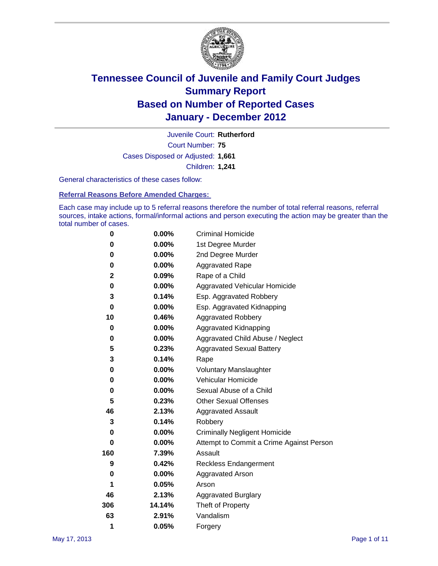

Court Number: **75** Juvenile Court: **Rutherford** Cases Disposed or Adjusted: **1,661** Children: **1,241**

General characteristics of these cases follow:

**Referral Reasons Before Amended Charges:** 

Each case may include up to 5 referral reasons therefore the number of total referral reasons, referral sources, intake actions, formal/informal actions and person executing the action may be greater than the total number of cases.

| 0   | $0.00\%$ | <b>Criminal Homicide</b>                 |  |  |
|-----|----------|------------------------------------------|--|--|
| 0   | 0.00%    | 1st Degree Murder                        |  |  |
| 0   | $0.00\%$ | 2nd Degree Murder                        |  |  |
| 0   | $0.00\%$ | <b>Aggravated Rape</b>                   |  |  |
| 2   | 0.09%    | Rape of a Child                          |  |  |
| 0   | 0.00%    | Aggravated Vehicular Homicide            |  |  |
| 3   | 0.14%    | Esp. Aggravated Robbery                  |  |  |
| 0   | $0.00\%$ | Esp. Aggravated Kidnapping               |  |  |
| 10  | 0.46%    | <b>Aggravated Robbery</b>                |  |  |
| 0   | $0.00\%$ | Aggravated Kidnapping                    |  |  |
| 0   | 0.00%    | Aggravated Child Abuse / Neglect         |  |  |
| 5   | 0.23%    | <b>Aggravated Sexual Battery</b>         |  |  |
| 3   | 0.14%    | Rape                                     |  |  |
| 0   | $0.00\%$ | <b>Voluntary Manslaughter</b>            |  |  |
| 0   | 0.00%    | Vehicular Homicide                       |  |  |
| 0   | 0.00%    | Sexual Abuse of a Child                  |  |  |
| 5   | 0.23%    | <b>Other Sexual Offenses</b>             |  |  |
| 46  | 2.13%    | <b>Aggravated Assault</b>                |  |  |
| 3   | 0.14%    | Robbery                                  |  |  |
| 0   | 0.00%    | <b>Criminally Negligent Homicide</b>     |  |  |
| 0   | $0.00\%$ | Attempt to Commit a Crime Against Person |  |  |
| 160 | 7.39%    | Assault                                  |  |  |
| 9   | 0.42%    | <b>Reckless Endangerment</b>             |  |  |
| 0   | 0.00%    | <b>Aggravated Arson</b>                  |  |  |
| 1   | 0.05%    | Arson                                    |  |  |
| 46  | 2.13%    | <b>Aggravated Burglary</b>               |  |  |
| 306 | 14.14%   | Theft of Property                        |  |  |
| 63  | 2.91%    | Vandalism                                |  |  |
| 1   | 0.05%    | Forgery                                  |  |  |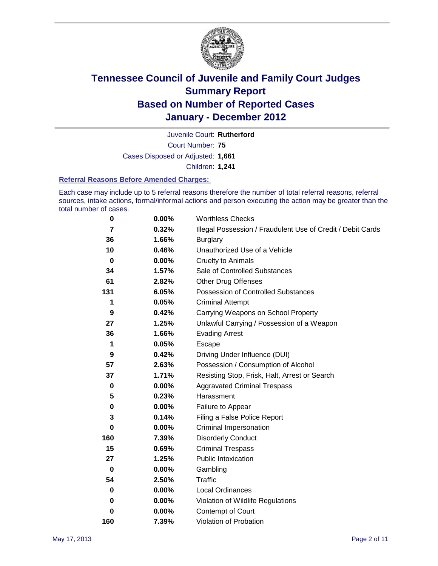

Court Number: **75** Juvenile Court: **Rutherford** Cases Disposed or Adjusted: **1,661** Children: **1,241**

#### **Referral Reasons Before Amended Charges:**

Each case may include up to 5 referral reasons therefore the number of total referral reasons, referral sources, intake actions, formal/informal actions and person executing the action may be greater than the total number of cases.

| 0              | 0.00%    | <b>Worthless Checks</b>                                     |  |  |
|----------------|----------|-------------------------------------------------------------|--|--|
| $\overline{7}$ | 0.32%    | Illegal Possession / Fraudulent Use of Credit / Debit Cards |  |  |
| 36             | 1.66%    | <b>Burglary</b>                                             |  |  |
| 10             | 0.46%    | Unauthorized Use of a Vehicle                               |  |  |
| $\mathbf 0$    | $0.00\%$ | <b>Cruelty to Animals</b>                                   |  |  |
| 34             | 1.57%    | Sale of Controlled Substances                               |  |  |
| 61             | 2.82%    | <b>Other Drug Offenses</b>                                  |  |  |
| 131            | 6.05%    | Possession of Controlled Substances                         |  |  |
| 1              | 0.05%    | <b>Criminal Attempt</b>                                     |  |  |
| 9              | 0.42%    | Carrying Weapons on School Property                         |  |  |
| 27             | 1.25%    | Unlawful Carrying / Possession of a Weapon                  |  |  |
| 36             | 1.66%    | <b>Evading Arrest</b>                                       |  |  |
| 1              | 0.05%    | Escape                                                      |  |  |
| 9              | 0.42%    | Driving Under Influence (DUI)                               |  |  |
| 57             | 2.63%    | Possession / Consumption of Alcohol                         |  |  |
| 37             | 1.71%    | Resisting Stop, Frisk, Halt, Arrest or Search               |  |  |
| $\mathbf 0$    | $0.00\%$ | <b>Aggravated Criminal Trespass</b>                         |  |  |
| 5              | 0.23%    | Harassment                                                  |  |  |
| $\pmb{0}$      | 0.00%    | Failure to Appear                                           |  |  |
| 3              | 0.14%    | Filing a False Police Report                                |  |  |
| 0              | 0.00%    | Criminal Impersonation                                      |  |  |
| 160            | 7.39%    | <b>Disorderly Conduct</b>                                   |  |  |
| 15             | 0.69%    | <b>Criminal Trespass</b>                                    |  |  |
| 27             | 1.25%    | <b>Public Intoxication</b>                                  |  |  |
| 0              | $0.00\%$ | Gambling                                                    |  |  |
| 54             | 2.50%    | <b>Traffic</b>                                              |  |  |
| 0              | $0.00\%$ | <b>Local Ordinances</b>                                     |  |  |
| 0              | $0.00\%$ | Violation of Wildlife Regulations                           |  |  |
| 0              | $0.00\%$ | Contempt of Court                                           |  |  |
| 160            | 7.39%    | Violation of Probation                                      |  |  |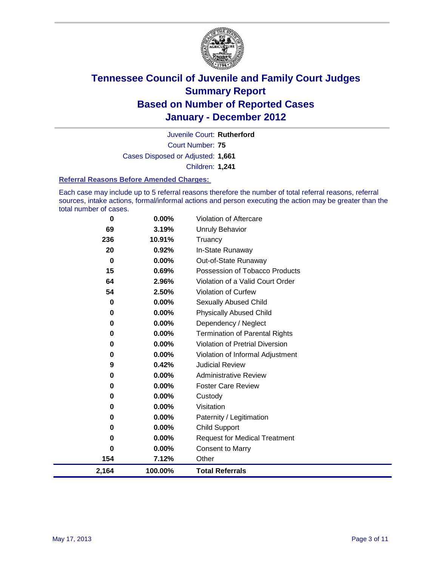

Court Number: **75** Juvenile Court: **Rutherford** Cases Disposed or Adjusted: **1,661** Children: **1,241**

#### **Referral Reasons Before Amended Charges:**

Each case may include up to 5 referral reasons therefore the number of total referral reasons, referral sources, intake actions, formal/informal actions and person executing the action may be greater than the total number of cases.

| 0        | 0.00%    | Violation of Aftercare                 |
|----------|----------|----------------------------------------|
| 69       | 3.19%    | Unruly Behavior                        |
| 236      | 10.91%   | Truancy                                |
| 20       | 0.92%    | In-State Runaway                       |
| 0        | $0.00\%$ | Out-of-State Runaway                   |
| 15       | 0.69%    | Possession of Tobacco Products         |
| 64       | 2.96%    | Violation of a Valid Court Order       |
| 54       | 2.50%    | Violation of Curfew                    |
| 0        | $0.00\%$ | Sexually Abused Child                  |
| 0        | $0.00\%$ | <b>Physically Abused Child</b>         |
| 0        | 0.00%    | Dependency / Neglect                   |
| 0        | 0.00%    | <b>Termination of Parental Rights</b>  |
| 0        | 0.00%    | <b>Violation of Pretrial Diversion</b> |
| 0        | 0.00%    | Violation of Informal Adjustment       |
| 9        | 0.42%    | <b>Judicial Review</b>                 |
| $\bf{0}$ | $0.00\%$ | <b>Administrative Review</b>           |
| 0        | $0.00\%$ | <b>Foster Care Review</b>              |
| 0        | 0.00%    | Custody                                |
| 0        | $0.00\%$ | Visitation                             |
| 0        | 0.00%    | Paternity / Legitimation               |
| 0        | $0.00\%$ | <b>Child Support</b>                   |
| 0        | $0.00\%$ | <b>Request for Medical Treatment</b>   |
| 0        | 0.00%    | <b>Consent to Marry</b>                |
| 154      | 7.12%    | Other                                  |
| 2,164    | 100.00%  | <b>Total Referrals</b>                 |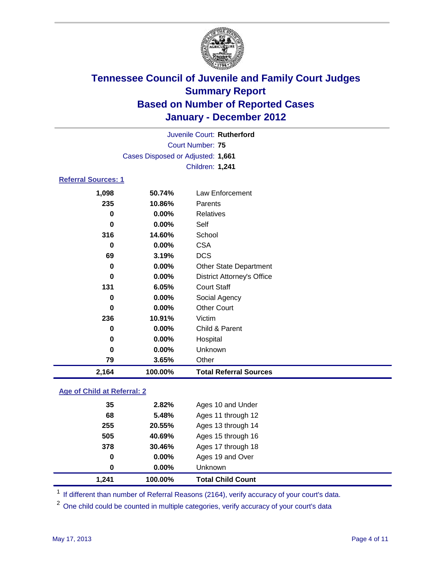

| Juvenile Court: Rutherford |                                   |                                   |  |
|----------------------------|-----------------------------------|-----------------------------------|--|
|                            | <b>Court Number: 75</b>           |                                   |  |
|                            | Cases Disposed or Adjusted: 1,661 |                                   |  |
|                            |                                   | <b>Children: 1,241</b>            |  |
| <b>Referral Sources: 1</b> |                                   |                                   |  |
| 1,098                      | 50.74%                            | <b>Law Enforcement</b>            |  |
| 235                        | 10.86%                            | Parents                           |  |
| 0                          | 0.00%                             | <b>Relatives</b>                  |  |
| 0                          | 0.00%                             | Self                              |  |
| 316                        | 14.60%                            | School                            |  |
| 0                          | 0.00%                             | <b>CSA</b>                        |  |
| 69                         | 3.19%                             | <b>DCS</b>                        |  |
| $\bf{0}$                   | 0.00%                             | <b>Other State Department</b>     |  |
| $\bf{0}$                   | 0.00%                             | <b>District Attorney's Office</b> |  |
| 131                        | 6.05%                             | <b>Court Staff</b>                |  |
| 0                          | 0.00%                             | Social Agency                     |  |
| $\bf{0}$                   | 0.00%                             | <b>Other Court</b>                |  |
| 236                        | 10.91%                            | Victim                            |  |
| $\bf{0}$                   | 0.00%                             | Child & Parent                    |  |
| 0                          | 0.00%                             | Hospital                          |  |
| 0                          | 0.00%                             | Unknown                           |  |
| 79                         | 3.65%                             | Other                             |  |
| 2,164                      | 100.00%                           | <b>Total Referral Sources</b>     |  |

### **Age of Child at Referral: 2**

|     |          | <b>Total Child Count</b> |
|-----|----------|--------------------------|
| 0   | $0.00\%$ | <b>Unknown</b>           |
| 0   | 0.00%    | Ages 19 and Over         |
| 378 | 30.46%   | Ages 17 through 18       |
| 505 | 40.69%   | Ages 15 through 16       |
| 255 | 20.55%   | Ages 13 through 14       |
| 68  | 5.48%    | Ages 11 through 12       |
| 35  | 2.82%    | Ages 10 and Under        |
|     |          | 1.241<br>100.00%         |

<sup>1</sup> If different than number of Referral Reasons (2164), verify accuracy of your court's data.

<sup>2</sup> One child could be counted in multiple categories, verify accuracy of your court's data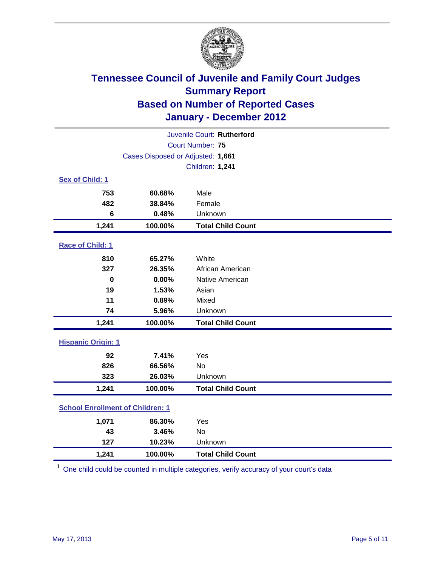

| Juvenile Court: Rutherford              |                                   |                          |  |  |
|-----------------------------------------|-----------------------------------|--------------------------|--|--|
|                                         | <b>Court Number: 75</b>           |                          |  |  |
|                                         | Cases Disposed or Adjusted: 1,661 |                          |  |  |
|                                         |                                   | Children: 1,241          |  |  |
| Sex of Child: 1                         |                                   |                          |  |  |
| 753                                     | 60.68%                            | Male                     |  |  |
| 482                                     | 38.84%                            | Female                   |  |  |
| 6                                       | 0.48%                             | Unknown                  |  |  |
| 1,241                                   | 100.00%                           | <b>Total Child Count</b> |  |  |
| Race of Child: 1                        |                                   |                          |  |  |
| 810                                     | 65.27%                            | White                    |  |  |
| 327                                     | 26.35%                            | African American         |  |  |
| $\mathbf 0$                             | 0.00%                             | Native American          |  |  |
| 19                                      | 1.53%                             | Asian                    |  |  |
| 11                                      | 0.89%                             | Mixed                    |  |  |
| 74                                      | 5.96%                             | Unknown                  |  |  |
| 1,241                                   | 100.00%                           | <b>Total Child Count</b> |  |  |
| <b>Hispanic Origin: 1</b>               |                                   |                          |  |  |
| 92                                      | 7.41%                             | Yes                      |  |  |
| 826                                     | 66.56%                            | No                       |  |  |
| 323                                     | 26.03%                            | Unknown                  |  |  |
| 1,241                                   | 100.00%                           | <b>Total Child Count</b> |  |  |
| <b>School Enrollment of Children: 1</b> |                                   |                          |  |  |
| 1,071                                   | 86.30%                            | Yes                      |  |  |
| 43                                      | 3.46%                             | No                       |  |  |
| 127                                     | 10.23%                            | Unknown                  |  |  |
| 1,241                                   | 100.00%                           | <b>Total Child Count</b> |  |  |

<sup>1</sup> One child could be counted in multiple categories, verify accuracy of your court's data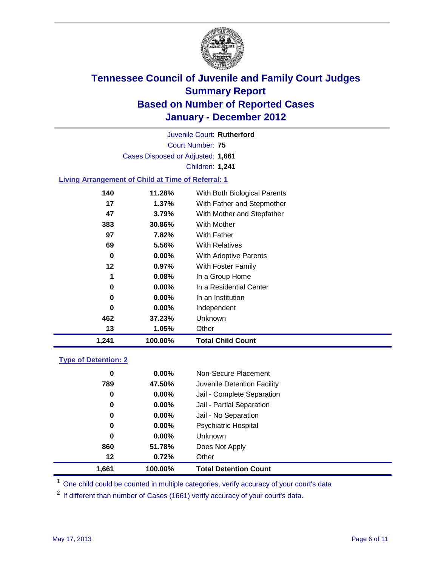

Court Number: **75** Juvenile Court: **Rutherford** Cases Disposed or Adjusted: **1,661** Children: **1,241**

### **Living Arrangement of Child at Time of Referral: 1**

| 1,241 | 100.00%  | <b>Total Child Count</b>     |
|-------|----------|------------------------------|
| 13    | 1.05%    | Other                        |
| 462   | 37.23%   | Unknown                      |
| 0     | $0.00\%$ | Independent                  |
| 0     | $0.00\%$ | In an Institution            |
| 0     | $0.00\%$ | In a Residential Center      |
| 1     | $0.08\%$ | In a Group Home              |
| 12    | $0.97\%$ | With Foster Family           |
| 0     | $0.00\%$ | With Adoptive Parents        |
| 69    | 5.56%    | <b>With Relatives</b>        |
| 97    | 7.82%    | <b>With Father</b>           |
| 383   | 30.86%   | <b>With Mother</b>           |
| 47    | 3.79%    | With Mother and Stepfather   |
| 17    | 1.37%    | With Father and Stepmother   |
| 140   | 11.28%   | With Both Biological Parents |
|       |          |                              |

#### **Type of Detention: 2**

| 1,661    | 100.00%  | <b>Total Detention Count</b> |  |
|----------|----------|------------------------------|--|
| 12       | 0.72%    | Other                        |  |
| 860      | 51.78%   | Does Not Apply               |  |
| 0        | $0.00\%$ | Unknown                      |  |
| 0        | $0.00\%$ | <b>Psychiatric Hospital</b>  |  |
| $\bf{0}$ | 0.00%    | Jail - No Separation         |  |
| 0        | $0.00\%$ | Jail - Partial Separation    |  |
| 0        | 0.00%    | Jail - Complete Separation   |  |
| 789      | 47.50%   | Juvenile Detention Facility  |  |
| 0        | $0.00\%$ | Non-Secure Placement         |  |
|          |          |                              |  |

<sup>1</sup> One child could be counted in multiple categories, verify accuracy of your court's data

<sup>2</sup> If different than number of Cases (1661) verify accuracy of your court's data.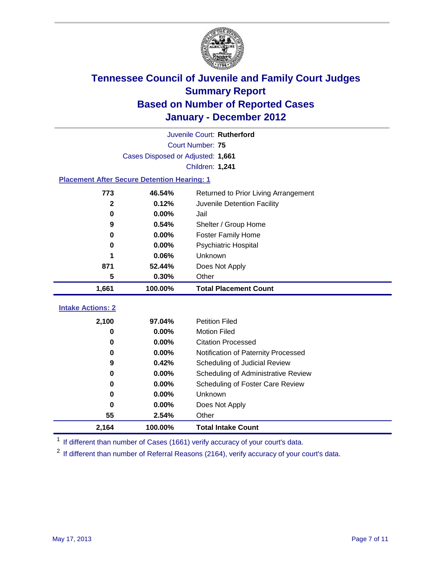

| Juvenile Court: Rutherford                         |                                   |                                      |  |  |
|----------------------------------------------------|-----------------------------------|--------------------------------------|--|--|
| Court Number: 75                                   |                                   |                                      |  |  |
|                                                    | Cases Disposed or Adjusted: 1,661 |                                      |  |  |
|                                                    |                                   | Children: 1,241                      |  |  |
| <b>Placement After Secure Detention Hearing: 1</b> |                                   |                                      |  |  |
| 773                                                | 46.54%                            | Returned to Prior Living Arrangement |  |  |
| $\mathbf{2}$                                       | 0.12%                             | Juvenile Detention Facility          |  |  |
| $\mathbf 0$                                        | 0.00%                             | Jail                                 |  |  |
| 9                                                  | 0.54%                             | Shelter / Group Home                 |  |  |
| 0                                                  | 0.00%                             | <b>Foster Family Home</b>            |  |  |
| 0                                                  | 0.00%                             | Psychiatric Hospital                 |  |  |
|                                                    | 0.06%                             | Unknown                              |  |  |
| 871                                                | 52.44%                            | Does Not Apply                       |  |  |
| 5                                                  | 0.30%                             | Other                                |  |  |
| 1,661                                              | 100.00%                           | <b>Total Placement Count</b>         |  |  |
| <b>Intake Actions: 2</b>                           |                                   |                                      |  |  |
| 2,100                                              | 97.04%                            | <b>Petition Filed</b>                |  |  |
| 0                                                  | 0.00%                             | <b>Motion Filed</b>                  |  |  |
| 0                                                  | 0.00%                             | <b>Citation Processed</b>            |  |  |
| 0                                                  | 0.00%                             | Notification of Paternity Processed  |  |  |
| 9                                                  | 0.42%                             | Scheduling of Judicial Review        |  |  |
| $\bf{0}$                                           | 0.00%                             | Scheduling of Administrative Review  |  |  |
| 0                                                  | 0.00%                             | Scheduling of Foster Care Review     |  |  |
| $\bf{0}$                                           | 0.00%                             | Unknown                              |  |  |
| 0                                                  | 0.00%                             | Does Not Apply                       |  |  |
| 55                                                 | 2.54%                             | Other                                |  |  |
| 2,164                                              | 100.00%                           | <b>Total Intake Count</b>            |  |  |

<sup>1</sup> If different than number of Cases (1661) verify accuracy of your court's data.

<sup>2</sup> If different than number of Referral Reasons (2164), verify accuracy of your court's data.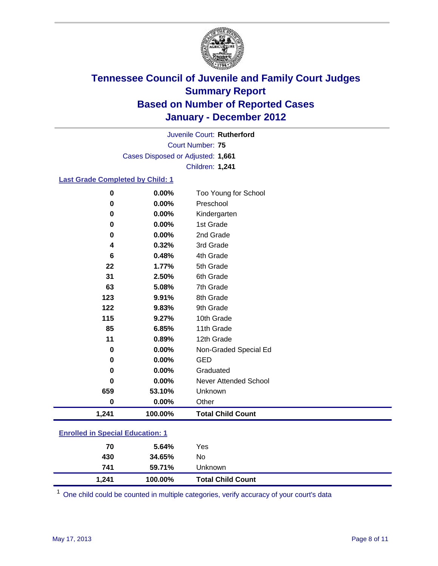

Court Number: **75** Juvenile Court: **Rutherford** Cases Disposed or Adjusted: **1,661** Children: **1,241**

### **Last Grade Completed by Child: 1**

| $\bf{0}$                                | 0.00%   | Too Young for School         |  |
|-----------------------------------------|---------|------------------------------|--|
| $\bf{0}$                                | 0.00%   | Preschool                    |  |
| 0                                       | 0.00%   | Kindergarten                 |  |
| 0                                       | 0.00%   | 1st Grade                    |  |
| 0                                       | 0.00%   | 2nd Grade                    |  |
| 4                                       | 0.32%   | 3rd Grade                    |  |
| 6                                       | 0.48%   | 4th Grade                    |  |
| 22                                      | 1.77%   | 5th Grade                    |  |
| 31                                      | 2.50%   | 6th Grade                    |  |
| 63                                      | 5.08%   | 7th Grade                    |  |
| 123                                     | 9.91%   | 8th Grade                    |  |
| 122                                     | 9.83%   | 9th Grade                    |  |
| 115                                     | 9.27%   | 10th Grade                   |  |
| 85                                      | 6.85%   | 11th Grade                   |  |
| 11                                      | 0.89%   | 12th Grade                   |  |
| 0                                       | 0.00%   | Non-Graded Special Ed        |  |
| 0                                       | 0.00%   | <b>GED</b>                   |  |
| 0                                       | 0.00%   | Graduated                    |  |
| 0                                       | 0.00%   | <b>Never Attended School</b> |  |
| 659                                     | 53.10%  | Unknown                      |  |
| $\bf{0}$                                | 0.00%   | Other                        |  |
| 1,241                                   | 100.00% | <b>Total Child Count</b>     |  |
| <b>Enrolled in Special Education: 1</b> |         |                              |  |

| 1,241 | 100.00% | <b>Total Child Count</b> |  |
|-------|---------|--------------------------|--|
| 741   | 59.71%  | Unknown                  |  |
| 430   | 34.65%  | No                       |  |
| 70    | 5.64%   | Yes                      |  |
|       |         |                          |  |

One child could be counted in multiple categories, verify accuracy of your court's data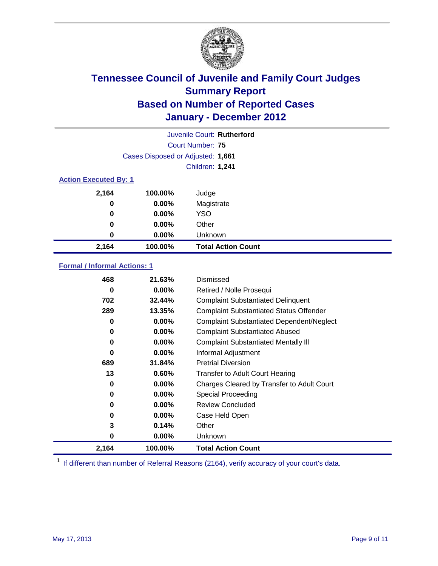

|       |                                   | Juvenile Court: Rutherford |  |  |  |
|-------|-----------------------------------|----------------------------|--|--|--|
|       |                                   | Court Number: 75           |  |  |  |
|       | Cases Disposed or Adjusted: 1,661 |                            |  |  |  |
|       |                                   | Children: 1,241            |  |  |  |
|       | <b>Action Executed By: 1</b>      |                            |  |  |  |
| 2,164 | 100.00%                           | Judge                      |  |  |  |
| 0     | $0.00\%$                          | Magistrate                 |  |  |  |
| 0     | $0.00\%$                          | <b>YSO</b>                 |  |  |  |
| 0     | 0.00%                             | Other                      |  |  |  |
| 0     | 0.00%                             | Unknown                    |  |  |  |
| 2,164 | 100.00%                           | <b>Total Action Count</b>  |  |  |  |

### **Formal / Informal Actions: 1**

| 468   | 21.63%   | <b>Dismissed</b>                                 |
|-------|----------|--------------------------------------------------|
| 0     | $0.00\%$ | Retired / Nolle Prosequi                         |
| 702   | 32.44%   | <b>Complaint Substantiated Delinquent</b>        |
| 289   | 13.35%   | <b>Complaint Substantiated Status Offender</b>   |
| 0     | $0.00\%$ | <b>Complaint Substantiated Dependent/Neglect</b> |
| 0     | 0.00%    | <b>Complaint Substantiated Abused</b>            |
| 0     | $0.00\%$ | <b>Complaint Substantiated Mentally III</b>      |
| 0     | $0.00\%$ | Informal Adjustment                              |
| 689   | 31.84%   | <b>Pretrial Diversion</b>                        |
| 13    | 0.60%    | <b>Transfer to Adult Court Hearing</b>           |
| 0     | $0.00\%$ | Charges Cleared by Transfer to Adult Court       |
| 0     | $0.00\%$ | Special Proceeding                               |
| 0     | $0.00\%$ | <b>Review Concluded</b>                          |
| 0     | $0.00\%$ | Case Held Open                                   |
| 3     | 0.14%    | Other                                            |
| 0     | $0.00\%$ | <b>Unknown</b>                                   |
| 2,164 | 100.00%  | <b>Total Action Count</b>                        |

<sup>1</sup> If different than number of Referral Reasons (2164), verify accuracy of your court's data.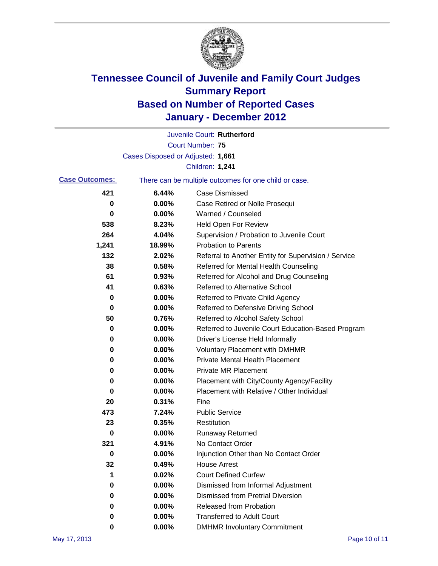

|                       |                                   | Juvenile Court: Rutherford                            |
|-----------------------|-----------------------------------|-------------------------------------------------------|
|                       |                                   | <b>Court Number: 75</b>                               |
|                       | Cases Disposed or Adjusted: 1,661 |                                                       |
|                       |                                   | Children: 1,241                                       |
| <b>Case Outcomes:</b> |                                   | There can be multiple outcomes for one child or case. |
| 421                   | 6.44%                             | <b>Case Dismissed</b>                                 |
| 0                     | 0.00%                             | Case Retired or Nolle Prosequi                        |
| 0                     | 0.00%                             | Warned / Counseled                                    |
| 538                   | 8.23%                             | <b>Held Open For Review</b>                           |
| 264                   | 4.04%                             | Supervision / Probation to Juvenile Court             |
| 1,241                 | 18.99%                            | <b>Probation to Parents</b>                           |
| 132                   | 2.02%                             | Referral to Another Entity for Supervision / Service  |
| 38                    | 0.58%                             | Referred for Mental Health Counseling                 |
| 61                    | 0.93%                             | Referred for Alcohol and Drug Counseling              |
| 41                    | 0.63%                             | <b>Referred to Alternative School</b>                 |
| 0                     | 0.00%                             | Referred to Private Child Agency                      |
| 0                     | 0.00%                             | Referred to Defensive Driving School                  |
| 50                    | 0.76%                             | Referred to Alcohol Safety School                     |
| 0                     | 0.00%                             | Referred to Juvenile Court Education-Based Program    |
| 0                     | 0.00%                             | Driver's License Held Informally                      |
| 0                     | 0.00%                             | <b>Voluntary Placement with DMHMR</b>                 |
| 0                     | 0.00%                             | <b>Private Mental Health Placement</b>                |
| 0                     | 0.00%                             | <b>Private MR Placement</b>                           |
| 0                     | 0.00%                             | Placement with City/County Agency/Facility            |
| 0                     | 0.00%                             | Placement with Relative / Other Individual            |
| 20                    | 0.31%                             | Fine                                                  |
| 473                   | 7.24%                             | <b>Public Service</b>                                 |
| 23                    | 0.35%                             | Restitution                                           |
| 0                     | 0.00%                             | <b>Runaway Returned</b>                               |
| 321                   | 4.91%                             | No Contact Order                                      |
| 0                     | 0.00%                             | Injunction Other than No Contact Order                |
| 32                    | 0.49%                             | <b>House Arrest</b>                                   |
| 1                     | 0.02%                             | <b>Court Defined Curfew</b>                           |
| 0                     | 0.00%                             | Dismissed from Informal Adjustment                    |
| 0                     | 0.00%                             | <b>Dismissed from Pretrial Diversion</b>              |
| 0                     | 0.00%                             | Released from Probation                               |
| 0                     | 0.00%                             | <b>Transferred to Adult Court</b>                     |
| 0                     | $0.00\%$                          | <b>DMHMR Involuntary Commitment</b>                   |